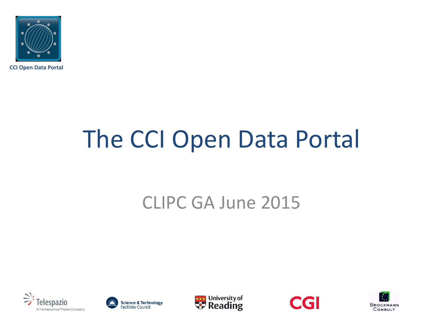

**CCI Open Data Portal**

# The CCI Open Data Portal

### CLIPC GA June 2015









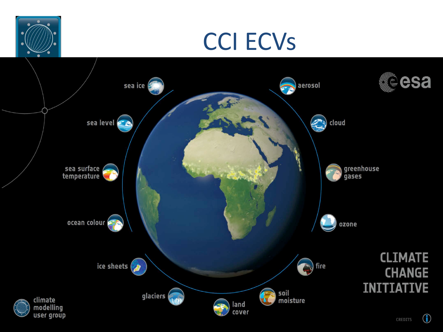

### CCI ECVs

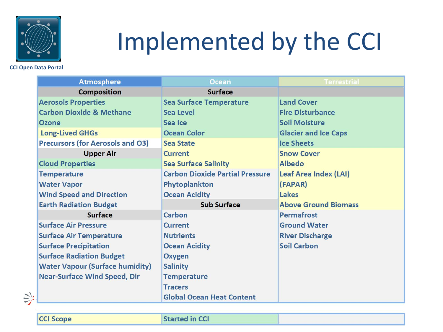

# Implemented by the CCI

#### **CCI Open Data Portal**

| <b>Atmosphere</b>                       | <b>Ocean</b>                           | Terrestrial                  |
|-----------------------------------------|----------------------------------------|------------------------------|
| <b>Composition</b>                      | <b>Surface</b>                         |                              |
| <b>Aerosols Properties</b>              | <b>Sea Surface Temperature</b>         | <b>Land Cover</b>            |
| <b>Carbon Dioxide &amp; Methane</b>     | Sea Level                              | <b>Fire Disturbance</b>      |
| <b>Ozone</b>                            | Sea Ice                                | <b>Soil Moisture</b>         |
| <b>Long-Lived GHGs</b>                  | <b>Ocean Color</b>                     | <b>Glacier and Ice Caps</b>  |
| <b>Precursors (for Aerosols and O3)</b> | <b>Sea State</b>                       | <b>Ice Sheets</b>            |
| <b>Upper Air</b>                        | <b>Current</b>                         | <b>Snow Cover</b>            |
| <b>Cloud Properties</b>                 | <b>Sea Surface Salinity</b>            | <b>Albedo</b>                |
| <b>Temperature</b>                      | <b>Carbon Dioxide Partial Pressure</b> | <b>Leaf Area Index (LAI)</b> |
| <b>Water Vapor</b>                      | Phytoplankton                          | (FAPAR)                      |
| <b>Wind Speed and Direction</b>         | <b>Ocean Acidity</b>                   | Lakes                        |
| <b>Earth Radiation Budget</b>           | <b>Sub Surface</b>                     | <b>Above Ground Biomass</b>  |
| <b>Surface</b>                          | Carbon                                 | <b>Permafrost</b>            |
| <b>Surface Air Pressure</b>             | <b>Current</b>                         | <b>Ground Water</b>          |
| <b>Surface Air Temperature</b>          | <b>Nutrients</b>                       | <b>River Discharge</b>       |
| <b>Surface Precipitation</b>            | <b>Ocean Acidity</b>                   | <b>Soil Carbon</b>           |
| <b>Surface Radiation Budget</b>         | <b>Oxygen</b>                          |                              |
| <b>Water Vapour (Surface humidity)</b>  | <b>Salinity</b>                        |                              |
| <b>Near-Surface Wind Speed, Dir</b>     | <b>Temperature</b>                     |                              |
|                                         | <b>Tracers</b>                         |                              |
|                                         | <b>Global Ocean Heat Content</b>       |                              |

 $\sum_{i}$ 

**CCI Scope** 

**Started in CCI**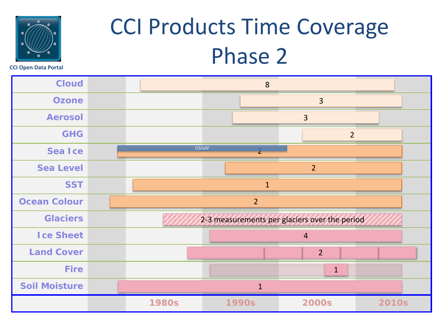

## CCI Products Time Coverage Phase 2

**CCI Open Data Portal**

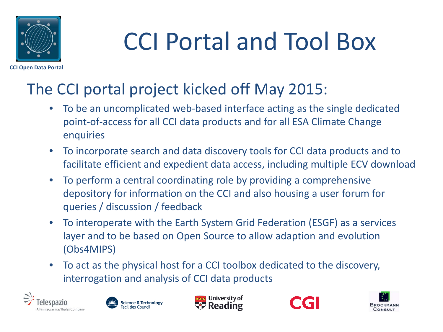

# CCI Portal and Tool Box

#### The CCI portal project kicked off May 2015:

- To be an uncomplicated web-based interface acting as the single dedicated point-of-access for all CCI data products and for all ESA Climate Change enquiries
- To incorporate search and data discovery tools for CCI data products and to facilitate efficient and expedient data access, including multiple ECV download
- To perform a central coordinating role by providing a comprehensive depository for information on the CCI and also housing a user forum for queries / discussion / feedback
- To interoperate with the Earth System Grid Federation (ESGF) as a services layer and to be based on Open Source to allow adaption and evolution (Obs4MIPS)
- To act as the physical host for a CCI toolbox dedicated to the discovery, interrogation and analysis of CCI data products









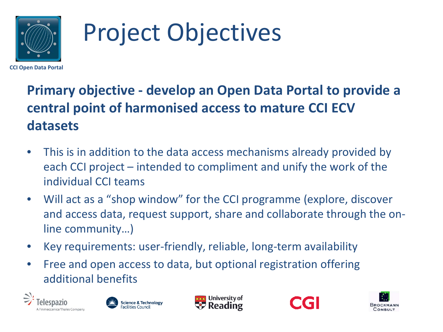

# Project Objectives

**CCI Open Data Portal**

#### **Primary objective - develop an Open Data Portal to provide a central point of harmonised access to mature CCI ECV datasets**

- This is in addition to the data access mechanisms already provided by each CCI project – intended to compliment and unify the work of the individual CCI teams
- Will act as a "shop window" for the CCI programme (explore, discover and access data, request support, share and collaborate through the online community…)
- Key requirements: user-friendly, reliable, long-term availability
- Free and open access to data, but optional registration offering additional benefits









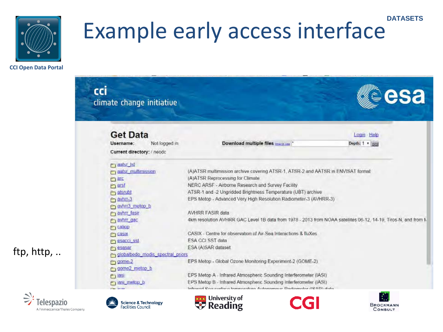

#### **DATASETS** Example early access interface

**CCI Open Data Portal**

| climate change initiative          |                                                                                                                | esa            |
|------------------------------------|----------------------------------------------------------------------------------------------------------------|----------------|
| <b>Get Data</b>                    |                                                                                                                | Login Help     |
| Not logged in<br>Username:         | Download multiple files                                                                                        | Depth: 1 v sol |
| Current directory: / neodc         |                                                                                                                |                |
| <b>P</b> dalst_Ist                 |                                                                                                                |                |
| <b>Praatsr multimission</b>        | (A)ATSR multimission archive covering ATSR-1, ATSR-2 and AATSR in ENVISAT format                               |                |
| 门班                                 | (A)ATSR Reprocessing for Climate                                                                               |                |
| P <sub>1</sub> arsf                | NERC ARSF - Airborne Research and Survey Facility                                                              |                |
| alsrubt                            | ATSR-1 and -2 Ungridded Brightness Temperature (UBT) archive                                                   |                |
| m avhrr-3                          | EPS Metop - Advanced Very High Resolution Radiometer-3 (AVHRR-3)                                               |                |
| avhr3 metop b                      |                                                                                                                |                |
| avhr fasir                         | <b>AVHRR FASIR data</b>                                                                                        |                |
| Paythr gad                         | 4km resolution AVHRR GAC Level 1B data from 1978 - 2013 from NOAA satellites 06-12, 14-19, Tiros-N, and from M |                |
| $f$ callop                         |                                                                                                                |                |
| PT CBSIX                           | CASIX - Centre for observation of Air-Sea Interactions & fluXes                                                |                |
| <b>P</b> esacci ssl                | ESA CCI SST data                                                                                               |                |
| <b>P</b> esasar                    | ESA (A)SAR dataset                                                                                             |                |
| o globalbedo modis spectral priors |                                                                                                                |                |
| $-2$ gome-2                        | EPS Metop - Global Ozone Monitoring Experiment-2 (GOME-2)                                                      |                |
| come2 metop b                      |                                                                                                                |                |
| <b>P</b> 1351                      | EPS Metop A - Infrared Atmospheric Sounding Interferometer (IASI)                                              |                |
| r last melop b                     | EPS Metop B - Infrared Atmospheric Sounding Interferometer (IASI)                                              |                |
| <b>Planet Garage</b>               | Informed Reacoutbers feminembers Automation Dadiomobile (RAD) data                                             |                |

lespazio A Finmeccanica/Thales Company

ftp, http, ..







**BROCKMANN** 

CONSULT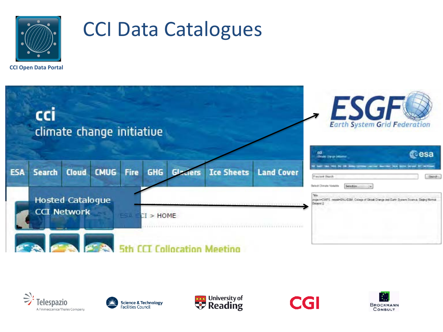

### CCI Data Catalogues

**CCI Open Data Portal**











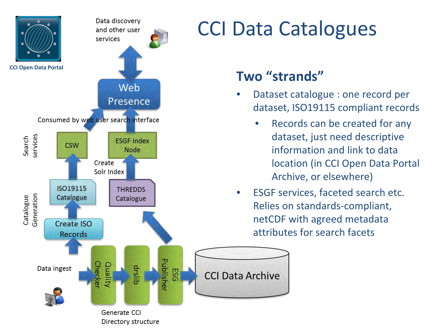

### CCI Data Catalogues

#### **Two "strands"**

- Dataset catalogue : one record per dataset, ISO19115 compliant records
	- Records can be created for any dataset, just need descriptive information and link to data location (in CCI Open Data Portal Archive, or elsewhere)
- ESGF services, faceted search etc. Relies on standards-compliant, netCDF with agreed metadata attributes for search facets